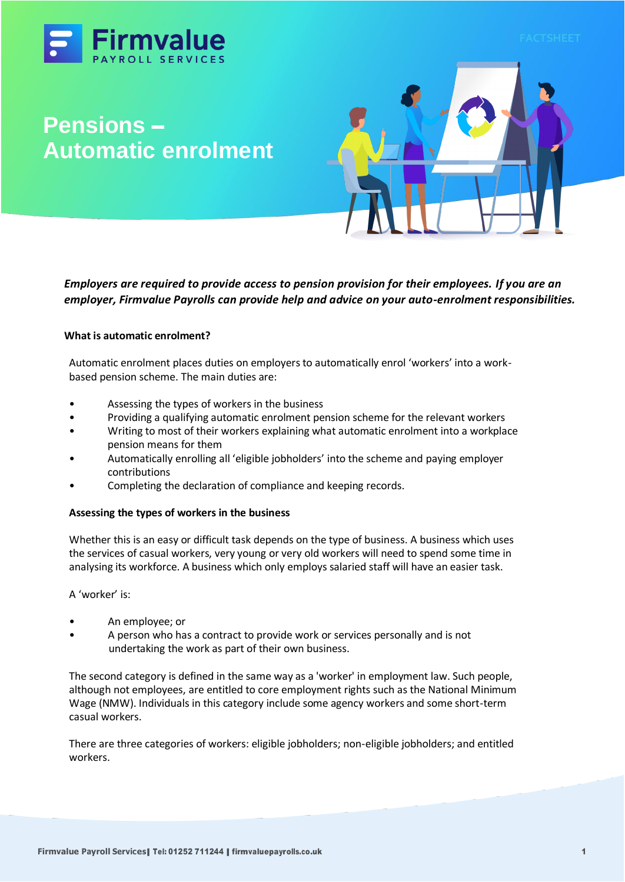



*Employers are required to provide access to pension provision for their employees. If you are an employer, Firmvalue Payrolls can provide help and advice on your auto-enrolment responsibilities.*

# **What is automatic enrolment?**

Automatic enrolment places duties on employers to automatically enrol 'workers' into a workbased pension scheme. The main duties are:

- Assessing the types of workers in the business
- Providing a qualifying automatic enrolment pension scheme for the relevant workers
- Writing to most of their workers explaining what automatic enrolment into a workplace pension means for them
- Automatically enrolling all 'eligible jobholders' into the scheme and paying employer contributions
- Completing the declaration of compliance and keeping records.

# **Assessing the types of workers in the business**

Whether this is an easy or difficult task depends on the type of business. A business which uses the services of casual workers, very young or very old workers will need to spend some time in analysing its workforce. A business which only employs salaried staff will have an easier task.

A 'worker' is:

- An employee; or
- A person who has a contract to provide work or services personally and is not undertaking the work as part of their own business.

The second category is defined in the same way as a 'worker' in employment law. Such people, although not employees, are entitled to core employment rights such as the National Minimum Wage (NMW). Individuals in this category include some agency workers and some short-term casual workers.

There are three categories of workers: eligible jobholders; non-eligible jobholders; and entitled workers.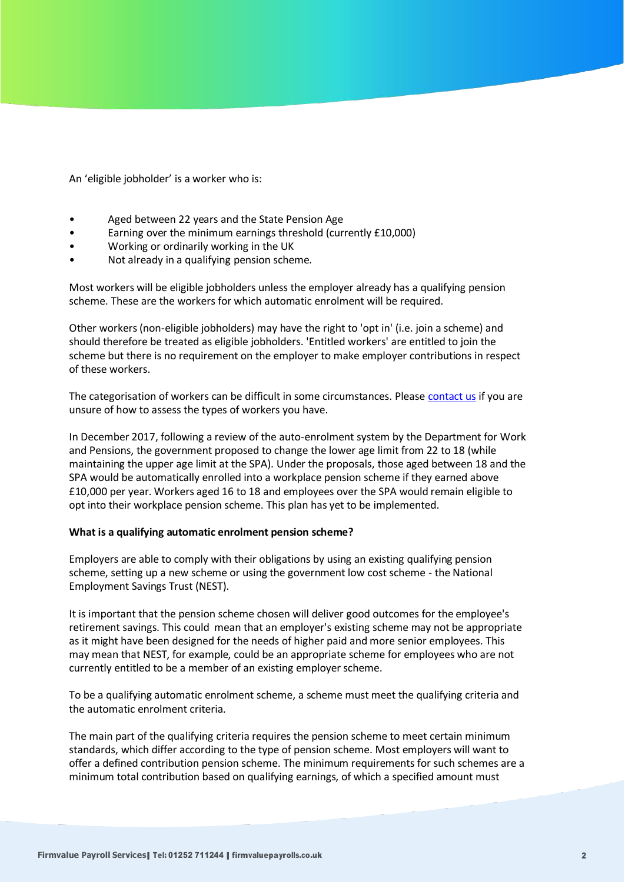An 'eligible jobholder' is a worker who is:

- Aged between 22 years and the State Pension Age
- Earning over the minimum earnings threshold (currently £10,000)
- Working or ordinarily working in the UK
- Not already in a qualifying pension scheme.

Most workers will be eligible jobholders unless the employer already has a qualifying pension scheme. These are the workers for which automatic enrolment will be required.

Other workers (non-eligible jobholders) may have the right to 'opt in' (i.e. join a scheme) and should therefore be treated as eligible jobholders. 'Entitled workers' are entitled to join the scheme but there is no requirement on the employer to make employer contributions in respect of these workers.

The categorisation of workers can be difficult in some circumstances. Please [contact us](https://www.firmvaluepayrolls.co.uk/) if you are unsure of how to assess the types of workers you have.

In December 2017, following a review of the auto-enrolment system by the Department for Work and Pensions, the government proposed to change the lower age limit from 22 to 18 (while maintaining the upper age limit at the SPA). Under the proposals, those aged between 18 and the SPA would be automatically enrolled into a workplace pension scheme if they earned above £10,000 per year. Workers aged 16 to 18 and employees over the SPA would remain eligible to opt into their workplace pension scheme. This plan has yet to be implemented.

### **What is a qualifying automatic enrolment pension scheme?**

Employers are able to comply with their obligations by using an existing qualifying pension scheme, setting up a new scheme or using the government low cost scheme - the National Employment Savings Trust (NEST).

It is important that the pension scheme chosen will deliver good outcomes for the employee's retirement savings. This could mean that an employer's existing scheme may not be appropriate as it might have been designed for the needs of higher paid and more senior employees. This may mean that NEST, for example, could be an appropriate scheme for employees who are not currently entitled to be a member of an existing employer scheme.

To be a qualifying automatic enrolment scheme, a scheme must meet the qualifying criteria and the automatic enrolment criteria.

The main part of the qualifying criteria requires the pension scheme to meet certain minimum standards, which differ according to the type of pension scheme. Most employers will want to offer a defined contribution pension scheme. The minimum requirements for such schemes are a minimum total contribution based on qualifying earnings, of which a specified amount must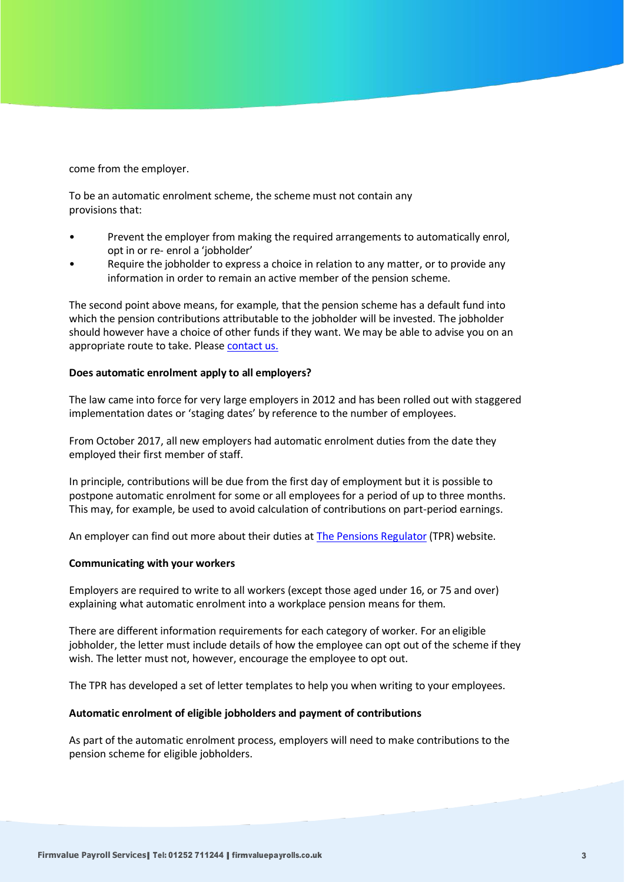come from the employer.

To be an automatic enrolment scheme, the scheme must not contain any provisions that:

- Prevent the employer from making the required arrangements to automatically enrol, opt in or re- enrol a 'jobholder'
- Require the jobholder to express a choice in relation to any matter, or to provide any information in order to remain an active member of the pension scheme.

The second point above means, for example, that the pension scheme has a default fund into which the pension contributions attributable to the jobholder will be invested. The jobholder should however have a choice of other funds if they want. We may be able to advise you on an appropriate route to take. Pleas[e contact us.](https://www.firmvaluepayrolls.co.uk/)

### **Does automatic enrolment apply to all employers?**

The law came into force for very large employers in 2012 and has been rolled out with staggered implementation dates or 'staging dates' by reference to the number of employees.

From October 2017, all new employers had automatic enrolment duties from the date they employed their first member of staff.

In principle, contributions will be due from the first day of employment but it is possible to postpone automatic enrolment for some or all employees for a period of up to three months. This may, for example, be used to avoid calculation of contributions on part-period earnings.

An employer can find out more about their duties at [The Pensions Regulator](https://www.thepensionsregulator.gov.uk/) (TPR) website.

### **Communicating with your workers**

Employers are required to write to all workers (except those aged under 16, or 75 and over) explaining what automatic enrolment into a workplace pension means for them.

There are different information requirements for each category of worker. For an eligible jobholder, the letter must include details of how the employee can opt out of the scheme if they wish. The letter must not, however, encourage the employee to opt out.

The TPR has developed a set of letter templates to help you when writing to your employees.

# **Automatic enrolment of eligible jobholders and payment of contributions**

As part of the automatic enrolment process, employers will need to make contributions to the pension scheme for eligible jobholders.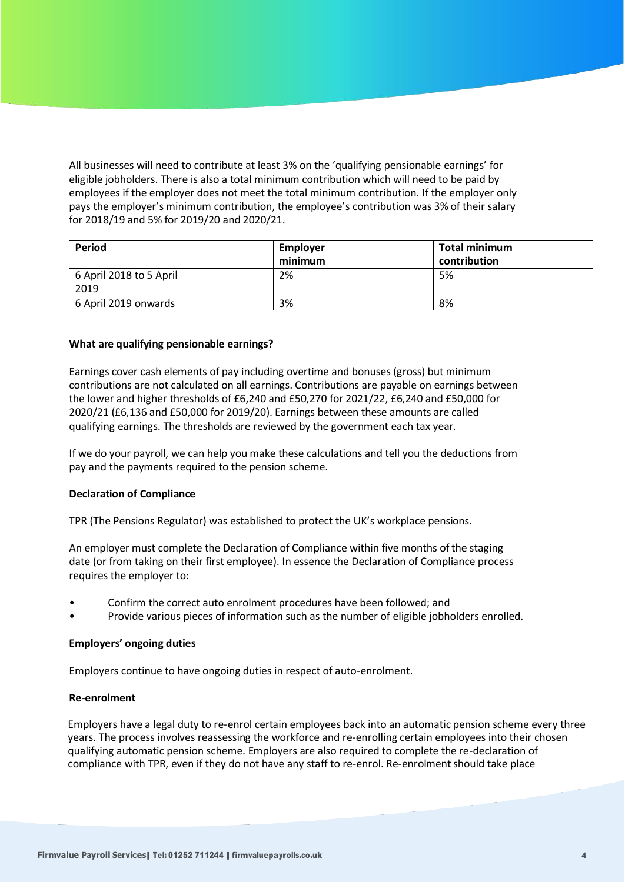All businesses will need to contribute at least 3% on the 'qualifying pensionable earnings' for eligible jobholders. There is also a total minimum contribution which will need to be paid by employees if the employer does not meet the total minimum contribution. If the employer only pays the employer's minimum contribution, the employee's contribution was 3% of their salary for 2018/19 and 5% for 2019/20 and 2020/21.

| Period                          | <b>Employer</b><br>minimum | <b>Total minimum</b><br>contribution |
|---------------------------------|----------------------------|--------------------------------------|
| 6 April 2018 to 5 April<br>2019 | 2%                         | 5%                                   |
| 6 April 2019 onwards            | 3%                         | 8%                                   |

# **What are qualifying pensionable earnings?**

Earnings cover cash elements of pay including overtime and bonuses (gross) but minimum contributions are not calculated on all earnings. Contributions are payable on earnings between the lower and higher thresholds of £6,240 and £50,270 for 2021/22, £6,240 and £50,000 for 2020/21 (£6,136 and £50,000 for 2019/20). Earnings between these amounts are called qualifying earnings. The thresholds are reviewed by the government each tax year.

If we do your payroll, we can help you make these calculations and tell you the deductions from pay and the payments required to the pension scheme.

### **Declaration of Compliance**

TPR (The Pensions Regulator) was established to protect the UK's workplace pensions.

An employer must complete the Declaration of Compliance within five months of the staging date (or from taking on their first employee). In essence the Declaration of Compliance process requires the employer to:

- Confirm the correct auto enrolment procedures have been followed; and
- Provide various pieces of information such as the number of eligible jobholders enrolled.

### **Employers' ongoing duties**

Employers continue to have ongoing duties in respect of auto-enrolment.

### **Re-enrolment**

Employers have a legal duty to re-enrol certain employees back into an automatic pension scheme every three years. The process involves reassessing the workforce and re-enrolling certain employees into their chosen qualifying automatic pension scheme. Employers are also required to complete the re-declaration of compliance with TPR, even if they do not have any staff to re-enrol. Re-enrolment should take place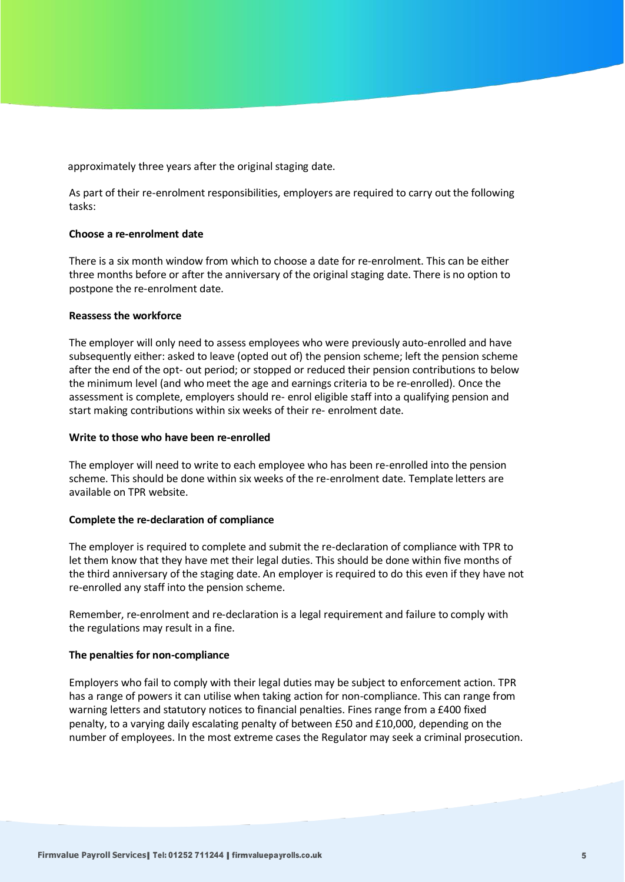approximately three years after the original staging date.

As part of their re-enrolment responsibilities, employers are required to carry out the following tasks:

### **Choose a re-enrolment date**

There is a six month window from which to choose a date for re-enrolment. This can be either three months before or after the anniversary of the original staging date. There is no option to postpone the re-enrolment date.

### **Reassess the workforce**

The employer will only need to assess employees who were previously auto-enrolled and have subsequently either: asked to leave (opted out of) the pension scheme; left the pension scheme after the end of the opt- out period; or stopped or reduced their pension contributions to below the minimum level (and who meet the age and earnings criteria to be re-enrolled). Once the assessment is complete, employers should re- enrol eligible staff into a qualifying pension and start making contributions within six weeks of their re- enrolment date.

### **Write to those who have been re-enrolled**

The employer will need to write to each employee who has been re-enrolled into the pension scheme. This should be done within six weeks of the re-enrolment date. Template letters are available on TPR website.

# **Complete the re-declaration of compliance**

The employer is required to complete and submit the re-declaration of compliance with TPR to let them know that they have met their legal duties. This should be done within five months of the third anniversary of the staging date. An employer is required to do this even if they have not re-enrolled any staff into the pension scheme.

Remember, re-enrolment and re-declaration is a legal requirement and failure to comply with the regulations may result in a fine.

# **The penalties for non-compliance**

Employers who fail to comply with their legal duties may be subject to enforcement action. TPR has a range of powers it can utilise when taking action for non-compliance. This can range from warning letters and statutory notices to financial penalties. Fines range from a £400 fixed penalty, to a varying daily escalating penalty of between £50 and £10,000, depending on the number of employees. In the most extreme cases the Regulator may seek a criminal prosecution.